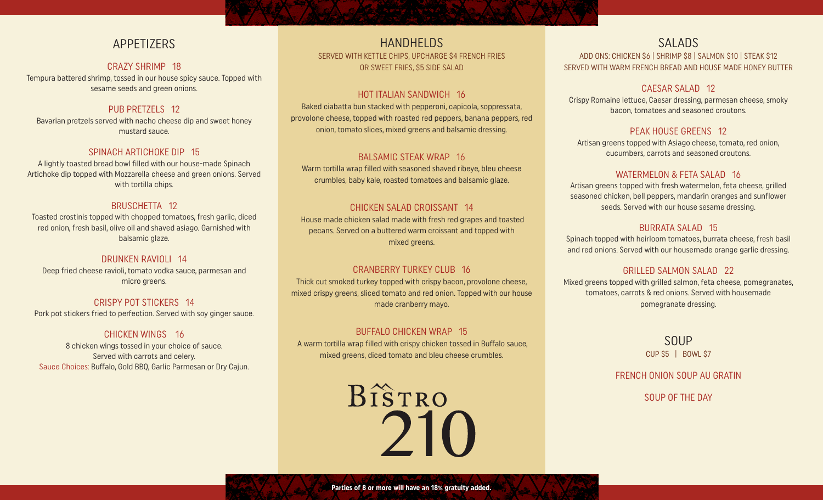# APPETIZERS

### CRAZY SHRIMP 18

Tempura battered shrimp, tossed in our house spicy sauce. Topped with sesame seeds and green onions.

### PUB PRETZELS 12

Bavarian pretzels served with nacho cheese dip and sweet honey mustard sauce.

### SPINACH ARTICHOKE DIP 15

A lightly toasted bread bowl filled with our house-made Spinach Artichoke dip topped with Mozzarella cheese and green onions. Served with tortilla chips.

### BRUSCHETTA 12

Toasted crostinis topped with chopped tomatoes, fresh garlic, diced red onion, fresh basil, olive oil and shaved asiago. Garnished with balsamic glaze.

## DRUNKEN RAVIOLI 14

Deep fried cheese ravioli, tomato vodka sauce, parmesan and micro greens.

# CRISPY POT STICKERS 14

Pork pot stickers fried to perfection. Served with soy ginger sauce.

# CHICKEN WINGS 16

8 chicken wings tossed in your choice of sauce. Served with carrots and celery. Sauce Choices: Buffalo, Gold BBQ, Garlic Parmesan or Dry Cajun.

# HANDHELDS

SERVED WITH KETTLE CHIPS, UPCHARGE \$4 FRENCH FRIES OR SWEET FRIES, \$5 SIDE SALAD

### HOT ITALIAN SANDWICH 16

Baked ciabatta bun stacked with pepperoni, capicola, soppressata, provolone cheese, topped with roasted red peppers, banana peppers, red onion, tomato slices, mixed greens and balsamic dressing.

### BALSAMIC STEAK WRAP 16

Warm tortilla wrap filled with seasoned shaved ribeye, bleu cheese crumbles, baby kale, roasted tomatoes and balsamic glaze.

### CHICKEN SALAD CROISSANT 14

 House made chicken salad made with fresh red grapes and toasted pecans. Served on a buttered warm croissant and topped with mixed greens.

## CRANBERRY TURKEY CLUB 16

Thick cut smoked turkey topped with crispy bacon, provolone cheese, mixed crispy greens, sliced tomato and red onion. Topped with our house made cranberry mayo.

#### BUFFALO CHICKEN WRAP 15

 A warm tortilla wrap filled with crispy chicken tossed in Buffalo sauce, mixed greens, diced tomato and bleu cheese crumbles.

> BISTRO 210

# SALADS

ADD ONS: CHICKEN \$6 | SHRIMP \$8 | SALMON \$10 | STEAK \$12 SERVED WITH WARM FRENCH BREAD AND HOUSE MADE HONEY BUTTER

### CAESAR SALAD 12

Crispy Romaine lettuce, Caesar dressing, parmesan cheese, smoky bacon, tomatoes and seasoned croutons.

### PEAK HOUSE GREENS 12

Artisan greens topped with Asiago cheese, tomato, red onion, cucumbers, carrots and seasoned croutons.

### WATERMELON & FETA SALAD 16

Artisan greens topped with fresh watermelon, feta cheese, grilled seasoned chicken, bell peppers, mandarin oranges and sunflower seeds. Served with our house sesame dressing.

### BURRATA SALAD 15

Spinach topped with heirloom tomatoes, burrata cheese, fresh basil and red onions. Served with our housemade orange garlic dressing.

### GRILLED SALMON SALAD 22

Mixed greens topped with grilled salmon, feta cheese, pomegranates, tomatoes, carrots & red onions. Served with housemade pomegranate dressing.

> SOUP CUP \$5 | BOWL \$7

FRENCH ONION SOUP AU GRATIN

SOUP OF THE DAY